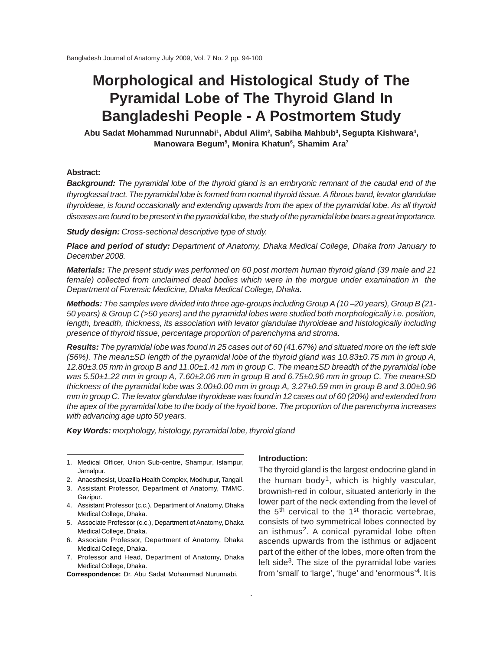# **Morphological and Histological Study of The Pyramidal Lobe of The Thyroid Gland In Bangladeshi People - A Postmortem Study**

**Abu Sadat Mohammad Nurunnabi1, Abdul Alim2 , Sabiha Mahbub3, Segupta Kishwara4, Manowara Begum5 , Monira Khatun6 , Shamim Ara7**

# **Abstract:**

*Background: The pyramidal lobe of the thyroid gland is an embryonic remnant of the caudal end of the thyroglossal tract. The pyramidal lobe is formed from normal thyroid tissue. A fibrous band, levator glandulae thyroideae, is found occasionally and extending upwards from the apex of the pyramidal lobe. As all thyroid diseases are found to be present in the pyramidal lobe, the study of the pyramidal lobe bears a great importance.*

*Study design: Cross-sectional descriptive type of study.*

*Place and period of study: Department of Anatomy, Dhaka Medical College, Dhaka from January to December 2008.*

*Materials: The present study was performed on 60 post mortem human thyroid gland (39 male and 21 female) collected from unclaimed dead bodies which were in the morgue under examination in the Department of Forensic Medicine, Dhaka Medical College, Dhaka.*

*Methods: The samples were divided into three age-groups including Group A (10 –20 years), Group B (21- 50 years) & Group C (>50 years) and the pyramidal lobes were studied both morphologically i.e. position, length, breadth, thickness, its association with levator glandulae thyroideae and histologically including presence of thyroid tissue, percentage proportion of parenchyma and stroma.*

*Results: The pyramidal lobe was found in 25 cases out of 60 (41.67%) and situated more on the left side (56%). The mean±SD length of the pyramidal lobe of the thyroid gland was 10.83±0.75 mm in group A, 12.80±3.05 mm in group B and 11.00±1.41 mm in group C. The mean±SD breadth of the pyramidal lobe was 5.50±1.22 mm in group A, 7.60±2.06 mm in group B and 6.75±0.96 mm in group C. The mean±SD thickness of the pyramidal lobe was 3.00±0.00 mm in group A, 3.27±0.59 mm in group B and 3.00±0.96 mm in group C. The levator glandulae thyroideae was found in 12 cases out of 60 (20%) and extended from the apex of the pyramidal lobe to the body of the hyoid bone. The proportion of the parenchyma increases with advancing age upto 50 years.*

*Key Words: morphology, histology, pyramidal lobe, thyroid gland*

- 1. Medical Officer, Union Sub-centre, Shampur, Islampur, Jamalpur.
- 2. Anaesthesist, Upazilla Health Complex, Modhupur, Tangail.
- 3. Assistant Professor, Department of Anatomy, TMMC, Gazipur.
- 4. Assistant Professor (c.c.), Department of Anatomy, Dhaka Medical College, Dhaka.
- 5. Associate Professor (c.c.), Department of Anatomy, Dhaka Medical College, Dhaka.
- 6. Associate Professor, Department of Anatomy, Dhaka Medical College, Dhaka.
- 7. Professor and Head, Department of Anatomy, Dhaka Medical College, Dhaka.

**Correspondence:** Dr. Abu Sadat Mohammad Nurunnabi.

#### **Introduction:**

The thyroid gland is the largest endocrine gland in the human body<sup>1</sup>, which is highly vascular, brownish-red in colour, situated anteriorly in the lower part of the neck extending from the level of the  $5<sup>th</sup>$  cervical to the  $1<sup>st</sup>$  thoracic vertebrae, consists of two symmetrical lobes connected by an isthmus<sup>2</sup>. A conical pyramidal lobe often ascends upwards from the isthmus or adjacent part of the either of the lobes, more often from the left side<sup>3</sup>. The size of the pyramidal lobe varies from 'small' to 'large', 'huge' and 'enormous'4. It is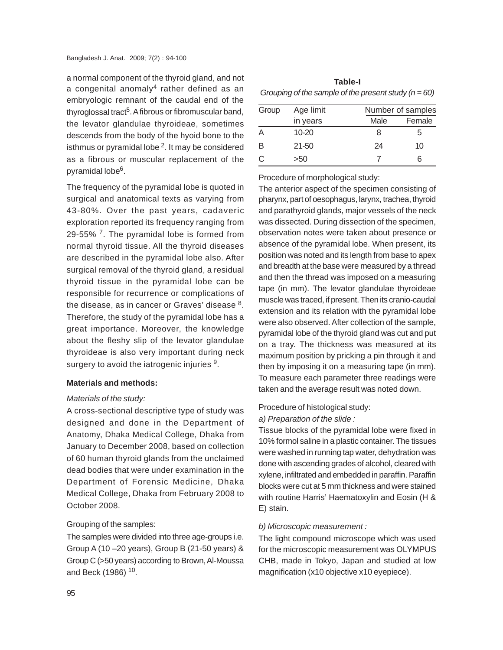a normal component of the thyroid gland, and not a congenital anomaly<sup>4</sup> rather defined as an embryologic remnant of the caudal end of the thyroglossal tract<sup>5</sup>. A fibrous or fibromuscular band, the levator glandulae thyroideae, sometimes descends from the body of the hyoid bone to the isthmus or pyramidal lobe<sup>2</sup>. It may be considered as a fibrous or muscular replacement of the pyramidal lobe6.

The frequency of the pyramidal lobe is quoted in surgical and anatomical texts as varying from 43-80%. Over the past years, cadaveric exploration reported its frequency ranging from 29-55%<sup>7</sup>. The pyramidal lobe is formed from normal thyroid tissue. All the thyroid diseases are described in the pyramidal lobe also. After surgical removal of the thyroid gland, a residual thyroid tissue in the pyramidal lobe can be responsible for recurrence or complications of the disease, as in cancer or Graves' disease  $8$ . Therefore, the study of the pyramidal lobe has a great importance. Moreover, the knowledge about the fleshy slip of the levator glandulae thyroideae is also very important during neck surgery to avoid the iatrogenic injuries <sup>9</sup>.

# **Materials and methods:**

# *Materials of the study:*

A cross-sectional descriptive type of study was designed and done in the Department of Anatomy, Dhaka Medical College, Dhaka from January to December 2008, based on collection of 60 human thyroid glands from the unclaimed dead bodies that were under examination in the Department of Forensic Medicine, Dhaka Medical College, Dhaka from February 2008 to October 2008.

# Grouping of the samples:

The samples were divided into three age-groups i.e. Group A (10 –20 years), Group B (21-50 years) & Group C (>50 years) according to Brown, Al-Moussa and Beck (1986) 10.

| Table-I                                                  |
|----------------------------------------------------------|
| Grouping of the sample of the present study ( $n = 60$ ) |

| Group | Age limit |      | Number of samples |  |
|-------|-----------|------|-------------------|--|
|       | in years  | Male | Female            |  |
| Α     | $10 - 20$ | 8    | 5                 |  |
| В     | $21 - 50$ | 24   | 10                |  |
| C     | >50       |      | ิค                |  |

Procedure of morphological study:

The anterior aspect of the specimen consisting of pharynx, part of oesophagus, larynx, trachea, thyroid and parathyroid glands, major vessels of the neck was dissected. During dissection of the specimen, observation notes were taken about presence or absence of the pyramidal lobe. When present, its position was noted and its length from base to apex and breadth at the base were measured by a thread and then the thread was imposed on a measuring tape (in mm). The levator glandulae thyroideae muscle was traced, if present. Then its cranio-caudal extension and its relation with the pyramidal lobe were also observed. After collection of the sample, pyramidal lobe of the thyroid gland was cut and put on a tray. The thickness was measured at its maximum position by pricking a pin through it and then by imposing it on a measuring tape (in mm). To measure each parameter three readings were taken and the average result was noted down.

# Procedure of histological study:

*a) Preparation of the slide :*

Tissue blocks of the pyramidal lobe were fixed in 10% formol saline in a plastic container. The tissues were washed in running tap water, dehydration was done with ascending grades of alcohol, cleared with xylene, infiltrated and embedded in paraffin. Paraffin blocks were cut at 5 mm thickness and were stained with routine Harris' Haematoxylin and Eosin (H & E) stain.

# *b) Microscopic measurement :*

The light compound microscope which was used for the microscopic measurement was OLYMPUS CHB, made in Tokyo, Japan and studied at low magnification (x10 objective x10 eyepiece).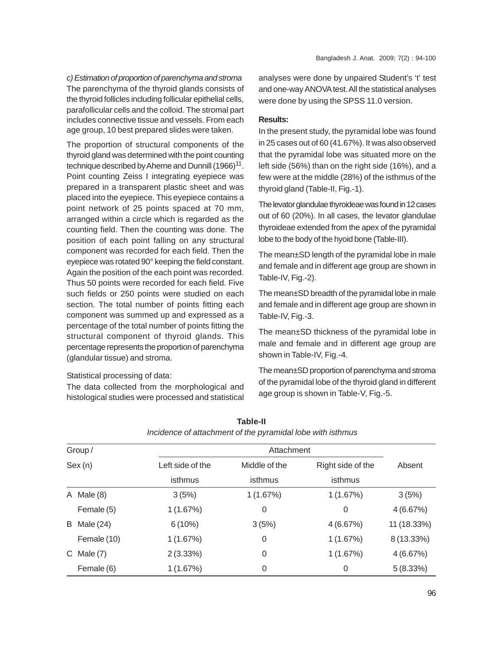*c) Estimation of proportion of parenchyma and stroma* The parenchyma of the thyroid glands consists of the thyroid follicles including follicular epithelial cells, parafollicular cells and the colloid. The stromal part includes connective tissue and vessels. From each age group, 10 best prepared slides were taken.

The proportion of structural components of the thyroid gland was determined with the point counting technique described by Aherne and Dunnill  $(1966)^{11}$ . Point counting Zeiss I integrating eyepiece was prepared in a transparent plastic sheet and was placed into the eyepiece. This eyepiece contains a point network of 25 points spaced at 70 mm, arranged within a circle which is regarded as the counting field. Then the counting was done. The position of each point falling on any structural component was recorded for each field. Then the eyepiece was rotated 90° keeping the field constant. Again the position of the each point was recorded. Thus 50 points were recorded for each field. Five such fields or 250 points were studied on each section. The total number of points fitting each component was summed up and expressed as a percentage of the total number of points fitting the structural component of thyroid glands. This percentage represents the proportion of parenchyma (glandular tissue) and stroma.

# Statistical processing of data:

The data collected from the morphological and histological studies were processed and statistical

analyses were done by unpaired Student's 't' test and one-way ANOVA test. All the statistical analyses were done by using the SPSS 11.0 version.

#### **Results:**

In the present study, the pyramidal lobe was found in 25 cases out of 60 (41.67%). It was also observed that the pyramidal lobe was situated more on the left side (56%) than on the right side (16%), and a few were at the middle (28%) of the isthmus of the thyroid gland (Table-II, Fig.-1).

The levator glandulae thyroideae was found in 12 cases out of 60 (20%). In all cases, the levator glandulae thyroideae extended from the apex of the pyramidal lobe to the body of the hyoid bone (Table-III).

The mean±SD length of the pyramidal lobe in male and female and in different age group are shown in Table-IV, Fig.-2).

The mean±SD breadth of the pyramidal lobe in male and female and in different age group are shown in Table-IV, Fig.-3.

The mean±SD thickness of the pyramidal lobe in male and female and in different age group are shown in Table-IV, Fig.-4.

The mean±SD proportion of parenchyma and stroma of the pyramidal lobe of the thyroid gland in different age group is shown in Table-V, Fig.-5.

| Group/<br>Sex(n) |             | Attachment                        |          |                   |             |
|------------------|-------------|-----------------------------------|----------|-------------------|-------------|
|                  |             | Left side of the<br>Middle of the |          | Right side of the | Absent      |
|                  |             | isthmus                           | isthmus  | isthmus           |             |
| A                | Male $(8)$  | 3(5%)                             | 1(1.67%) | 1(1.67%)          | 3(5%)       |
|                  | Female (5)  | 1(1.67%)                          | 0        | 0                 | 4(6.67%)    |
| B                | Male (24)   | $6(10\%)$                         | 3(5%)    | 4(6.67%)          | 11 (18.33%) |
|                  | Female (10) | 1(1.67%)                          | 0        | 1(1.67%)          | 8 (13.33%)  |
| C.               | Male $(7)$  | $2(3.33\%)$                       | 0        | 1(1.67%)          | 4(6.67%)    |
|                  | Female (6)  | 1(1.67%)                          | 0        | 0                 | 5(8.33%)    |

| Table-II                                                   |
|------------------------------------------------------------|
| Incidence of attachment of the pyramidal lobe with isthmus |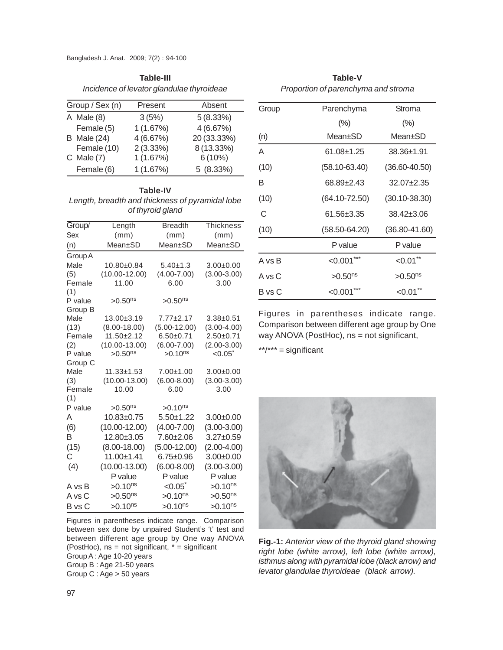Bangladesh J. Anat. 2009; 7(2) : 94-100

| Table-III |                                           |
|-----------|-------------------------------------------|
|           | Incidence of levator glandulae thyroideae |

| Group / Sex (n) |                    | Present  | Absent      |
|-----------------|--------------------|----------|-------------|
|                 | $A$ Male $(8)$     | 3(5%)    | 5(8.33%)    |
|                 | Female (5)         | 1(1.67%) | 4(6.67%)    |
|                 | <b>B</b> Male (24) | 4(6.67%) | 20 (33.33%) |
|                 | Female (10)        | 2(3.33%) | 8 (13.33%)  |
|                 | $C$ Male $(7)$     | 1(1.67%) | $6(10\%)$   |
|                 | Female (6)         | 1(1.67%) | 5(8.33%)    |

**Table-IV** *Length, breadth and thickness of pyramidal lobe*

| Lengui, bieduli driu lilichijess or pyramidal lobe |
|----------------------------------------------------|
| of thyroid gland                                   |
|                                                    |

| Group/         | Length                | <b>Breadth</b>     | Thickness       |
|----------------|-----------------------|--------------------|-----------------|
| Sex            | (mm)                  | (mm)               | (mm)            |
| (n)            | Mean±SD               | Mean±SD            | Mean±SD         |
| Group A        |                       |                    |                 |
| Male           | 10.80±0.84            | $5.40 \pm 1.3$     | $3.00+0.00$     |
| (5)            | $(10.00 - 12.00)$     | $(4.00 - 7.00)$    | $(3.00 - 3.00)$ |
| Female         | 11.00                 | 6.00               | 3.00            |
| (1)            |                       |                    |                 |
| P value        | $>0.50$ <sup>ns</sup> | $>0.50^{ns}$       |                 |
| Group B        |                       |                    |                 |
| Male           | $13.00 \pm 3.19$      | $7.77 \pm 2.17$    | $3.38 + 0.51$   |
| (13)           | $(8.00 - 18.00)$      | $(5.00-12.00)$     | $(3.00 - 4.00)$ |
| Female         | $11.50 \pm 2.12$      | $6.50 + 0.71$      | $2.50 + 0.71$   |
| (2)            | $(10.00 - 13.00)$     | $(6.00 - 7.00)$    | $(2.00-3.00)$   |
| P value        | $>0.50^{ns}$          | $>0.10^{ns}$       | $< 0.05^*$      |
| Group C        |                       |                    |                 |
| Male           | $11.33 \pm 1.53$      | $7.00 + 1.00$      | $3.00+0.00$     |
| (3)            | $(10.00 - 13.00)$     | $(6.00 - 8.00)$    | $(3.00 - 3.00)$ |
| Female         | 10.00                 | 6.00               | 3.00            |
| (1)<br>P value | $>0.50$ <sup>ns</sup> | $>0.10^{ns}$       |                 |
| A              | 10.83±0.75            | $5.50 + 1.22$      | $3.00 + 0.00$   |
| (6)            | $(10.00 - 12.00)$     | $(4.00 - 7.00)$    | $(3.00 - 3.00)$ |
| B              | 12.80±3.05            | 7.60±2.06          | 3.27±0.59       |
|                |                       |                    |                 |
| (15)           | $(8.00 - 18.00)$      | $(5.00-12.00)$     | $(2.00-4.00)$   |
| С              | $11.00 + 1.41$        | $6.75 \pm 0.96$    | $3.00+0.00$     |
| (4)            | $(10.00 - 13.00)$     | $(6.00 - 8.00)$    | $(3.00 - 3.00)$ |
|                | P value               | P value            | P value         |
| A vs B         | $>0.10^{ns}$          | $< 0.05^{\degree}$ | $>0.10^{ns}$    |
| A vs C         | $>0.50$ <sup>ns</sup> | $>0.10^{ns}$       | $>0.50^{ns}$    |
| B vs C         | $>0.10^{ns}$          | $>0.10^{ns}$       | $>0.10^{ns}$    |

Figures in parentheses indicate range. Comparison between sex done by unpaired Student's 't' test and between different age group by One way ANOVA (PostHoc),  $ns = not$  significant,  $* =$  significant Group A : Age 10-20 years Group B : Age 21-50 years Group C : Age > 50 years

| <b>Table-V</b>                      |
|-------------------------------------|
| Proportion of parenchyma and stroma |

| Group  | Parenchyma            | Stroma                |  |
|--------|-----------------------|-----------------------|--|
|        | $(\%)$                | $(\% )$               |  |
| (n)    | Mean+SD               | Mean+SD               |  |
| A      | 61.08±1.25            | $38.36 \pm 1.91$      |  |
| (10)   | $(58.10 - 63.40)$     | $(36.60 - 40.50)$     |  |
| B      | 68.89±2.43            | $32.07 + 2.35$        |  |
| (10)   | $(64.10 - 72.50)$     | $(30.10 - 38.30)$     |  |
| C      | 61.56±3.35            | 38.42±3.06            |  |
| (10)   | $(58.50 - 64.20)$     | $(36.80 - 41.60)$     |  |
|        | P value               | P value               |  |
| A vs B | $< 0.001$ ***         | $< 0.01$ **           |  |
| A vs C | $>0.50$ <sup>ns</sup> | $>0.50$ <sup>ns</sup> |  |
| B vs C | < 0.001               | < 0.01                |  |

Figures in parentheses indicate range. Comparison between different age group by One way ANOVA (PostHoc), ns = not significant,

\*\*/\*\*\* = significant



**Fig.-1:** *Anterior view of the thyroid gland showing right lobe (white arrow), left lobe (white arrow), isthmus along with pyramidal lobe (black arrow) and levator glandulae thyroideae (black arrow).*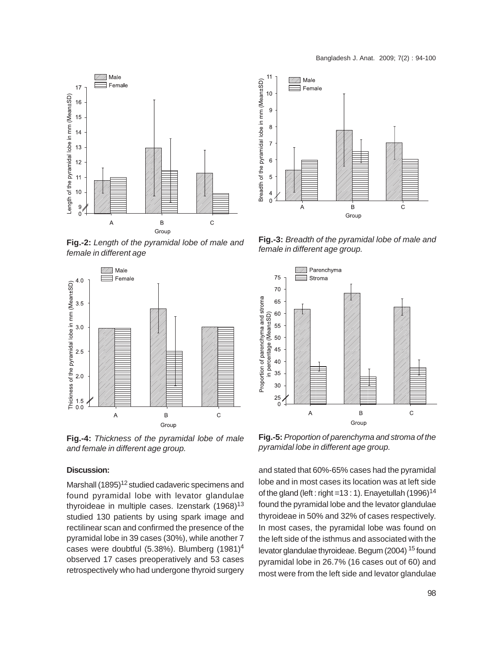



**Fig.-2:** *Length of the pyramidal lobe of male and female in different age*



**Fig.-4:** *Thickness of the pyramidal lobe of male and female in different age group.*

# **Discussion:**

Marshall (1895)<sup>12</sup> studied cadaveric specimens and found pyramidal lobe with levator glandulae thyroideae in multiple cases. Izenstark  $(1968)^{13}$ studied 130 patients by using spark image and rectilinear scan and confirmed the presence of the pyramidal lobe in 39 cases (30%), while another 7 cases were doubtful (5.38%). Blumberg (1981)4 observed 17 cases preoperatively and 53 cases retrospectively who had undergone thyroid surgery



**Fig.-3:** *Breadth of the pyramidal lobe of male and female in different age group.*



**Fig.-5:** *Proportion of parenchyma and stroma of the pyramidal lobe in different age group.*

and stated that 60%-65% cases had the pyramidal lobe and in most cases its location was at left side of the gland (left : right =13 : 1). Enayetullah (1996)<sup>14</sup> found the pyramidal lobe and the levator glandulae thyroideae in 50% and 32% of cases respectively. In most cases, the pyramidal lobe was found on the left side of the isthmus and associated with the levator glandulae thyroideae. Begum (2004) 15 found pyramidal lobe in 26.7% (16 cases out of 60) and most were from the left side and levator glandulae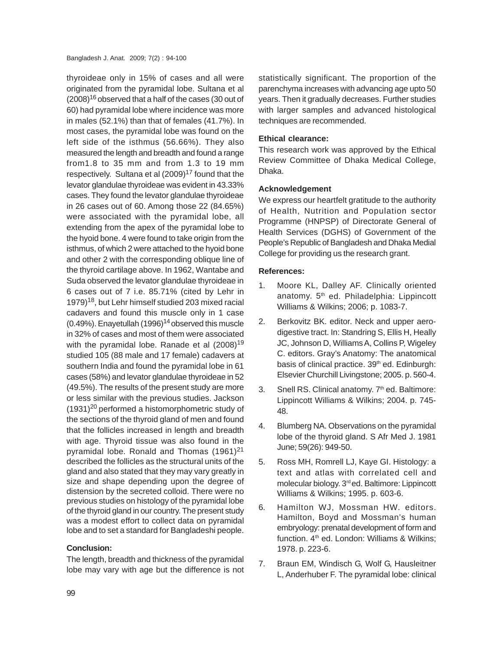thyroideae only in 15% of cases and all were originated from the pyramidal lobe. Sultana et al  $(2008)^{16}$  observed that a half of the cases (30 out of 60) had pyramidal lobe where incidence was more in males (52.1%) than that of females (41.7%). In most cases, the pyramidal lobe was found on the left side of the isthmus (56.66%). They also measured the length and breadth and found a range from1.8 to 35 mm and from 1.3 to 19 mm respectively. Sultana et al (2009)<sup>17</sup> found that the levator glandulae thyroideae was evident in 43.33% cases. They found the levator glandulae thyroideae in 26 cases out of 60. Among those 22 (84.65%) were associated with the pyramidal lobe, all extending from the apex of the pyramidal lobe to the hyoid bone. 4 were found to take origin from the isthmus, of which 2 were attached to the hyoid bone and other 2 with the corresponding oblique line of the thyroid cartilage above. In 1962, Wantabe and Suda observed the levator glandulae thyroideae in 6 cases out of 7 i.e. 85.71% (cited by Lehr in 1979)<sup>18</sup>, but Lehr himself studied 203 mixed racial cadavers and found this muscle only in 1 case  $(0.49%)$ . Enayetullah  $(1996)^{14}$  observed this muscle in 32% of cases and most of them were associated with the pyramidal lobe. Ranade et al  $(2008)^{19}$ studied 105 (88 male and 17 female) cadavers at southern India and found the pyramidal lobe in 61 cases (58%) and levator glandulae thyroideae in 52 (49.5%). The results of the present study are more or less similar with the previous studies. Jackson  $(1931)^{20}$  performed a histomorphometric study of the sections of the thyroid gland of men and found that the follicles increased in length and breadth with age. Thyroid tissue was also found in the pyramidal lobe. Ronald and Thomas  $(1961)^{21}$ described the follicles as the structural units of the gland and also stated that they may vary greatly in size and shape depending upon the degree of distension by the secreted colloid. There were no previous studies on histology of the pyramidal lobe of the thyroid gland in our country. The present study was a modest effort to collect data on pyramidal lobe and to set a standard for Bangladeshi people.

# **Conclusion:**

The length, breadth and thickness of the pyramidal lobe may vary with age but the difference is not statistically significant. The proportion of the parenchyma increases with advancing age upto 50 years. Then it gradually decreases. Further studies with larger samples and advanced histological techniques are recommended.

# **Ethical clearance:**

This research work was approved by the Ethical Review Committee of Dhaka Medical College, Dhaka.

# **Acknowledgement**

We express our heartfelt gratitude to the authority of Health, Nutrition and Population sector Programme (HNPSP) of Directorate General of Health Services (DGHS) of Government of the People's Republic of Bangladesh and Dhaka Medial College for providing us the research grant.

# **References:**

- 1. Moore KL, Dalley AF. Clinically oriented anatomy. 5<sup>th</sup> ed. Philadelphia: Lippincott Williams & Wilkins; 2006; p. 1083-7.
- 2. Berkovitz BK. editor. Neck and upper aerodigestive tract. In: Standring S, Ellis H, Heally JC, Johnson D, Williams A, Collins P, Wigeley C. editors. Gray's Anatomy: The anatomical basis of clinical practice. 39<sup>th</sup> ed. Edinburgh: Elsevier Churchill Livingstone; 2005. p. 560-4.
- 3. Snell RS. Clinical anatomy. 7th ed. Baltimore: Lippincott Williams & Wilkins; 2004. p. 745- 48.
- 4. Blumberg NA. Observations on the pyramidal lobe of the thyroid gland. S Afr Med J. 1981 June; 59(26): 949-50.
- 5. Ross MH, Romrell LJ, Kaye GI. Histology: a text and atlas with correlated cell and molecular biology. 3<sup>rd</sup> ed. Baltimore: Lippincott Williams & Wilkins; 1995. p. 603-6.
- 6. Hamilton WJ, Mossman HW. editors. Hamilton, Boyd and Mossman's human embryology: prenatal development of form and function. 4<sup>th</sup> ed. London: Williams & Wilkins; 1978. p. 223-6.
- 7. Braun EM, Windisch G, Wolf G, Hausleitner L, Anderhuber F. The pyramidal lobe: clinical